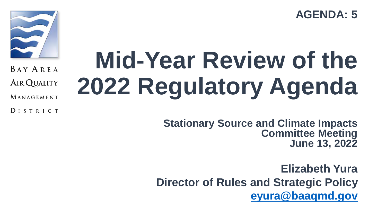**AGENDA: 5**



BAY AREA

**AIR QUALITY** 

MANAGEMENT

DISTRICT

# **Mid-Year Review of the 2022 Regulatory Agenda**

**Stationary Source and Climate Impacts Committee Meeting June 13, 2022**

**Elizabeth Yura Director of Rules and Strategic Policy [eyura@baaqmd.gov](mailto:eyura@baaqmd.gov)**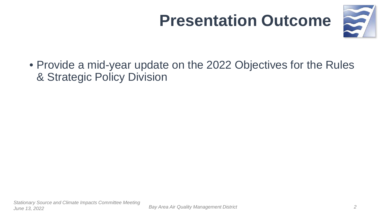### **Presentation Outcome**



• Provide a mid-year update on the 2022 Objectives for the Rules & Strategic Policy Division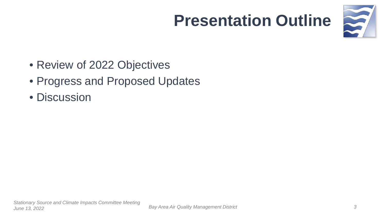### **Presentation Outline**



- Review of 2022 Objectives
- Progress and Proposed Updates
- Discussion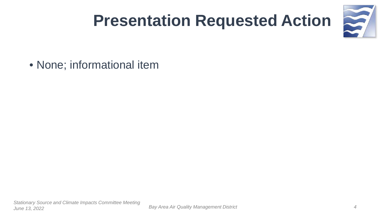### **Presentation Requested Action**



• None; informational item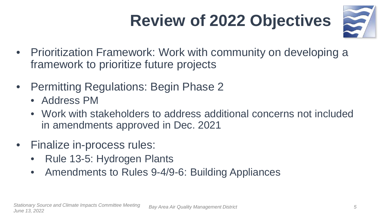### **Review of 2022 Objectives**



- Prioritization Framework: Work with community on developing a framework to prioritize future projects
- Permitting Regulations: Begin Phase 2
	- Address PM
	- Work with stakeholders to address additional concerns not included in amendments approved in Dec. 2021
- Finalize in-process rules:
	- Rule 13-5: Hydrogen Plants
	- Amendments to Rules 9-4/9-6: Building Appliances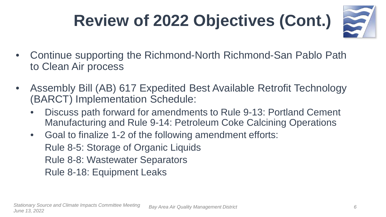### **Review of 2022 Objectives (Cont.)**



- Continue supporting the Richmond-North Richmond-San Pablo Path to Clean Air process
- Assembly Bill (AB) 617 Expedited Best Available Retrofit Technology (BARCT) Implementation Schedule:
	- Discuss path forward for amendments to Rule 9-13: Portland Cement Manufacturing and Rule 9-14: Petroleum Coke Calcining Operations
	- Goal to finalize 1-2 of the following amendment efforts: Rule 8-5: Storage of Organic Liquids Rule 8-8: Wastewater Separators Rule 8-18: Equipment Leaks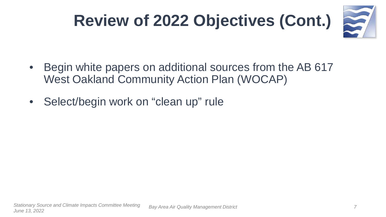

5

- Begin white papers on additional sources from the AB 617 West Oakland Community Action Plan (WOCAP)
- Select/begin work on "clean up" rule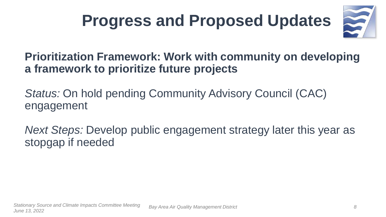### **Progress and Proposed Updates**



#### **Prioritization Framework: Work with community on developing a framework to prioritize future projects**

*Status:* On hold pending Community Advisory Council (CAC) engagement

*Next Steps:* Develop public engagement strategy later this year as stopgap if needed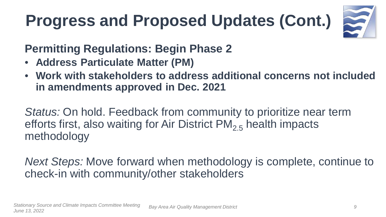

#### **Permitting Regulations: Begin Phase 2**

- **Address Particulate Matter (PM)**
- **Work with stakeholders to address additional concerns not included in amendments approved in Dec. 2021**

*Status:* On hold. Feedback from community to prioritize near term efforts first, also waiting for Air District  $PM_{2,5}$  health impacts methodology

*Next Steps:* Move forward when methodology is complete, continue to check-in with community/other stakeholders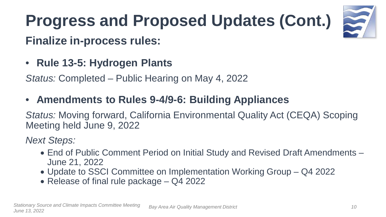

#### **Finalize in-process rules:**

• **Rule 13-5: Hydrogen Plants**

*Status:* Completed – Public Hearing on May 4, 2022

• **Amendments to Rules 9-4/9-6: Building Appliances**

*Status:* Moving forward, California Environmental Quality Act (CEQA) Scoping Meeting held June 9, 2022

*Next Steps:* 

- End of Public Comment Period on Initial Study and Revised Draft Amendments June 21, 2022
- Update to SSCI Committee on Implementation Working Group Q4 2022
- Release of final rule package Q4 2022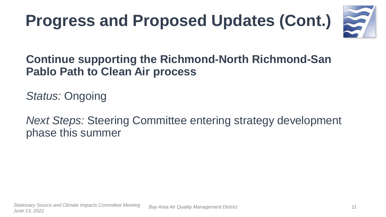

#### **Continue supporting the Richmond-North Richmond-San Pablo Path to Clean Air process**

*Status:* Ongoing

*Next Steps:* Steering Committee entering strategy development phase this summer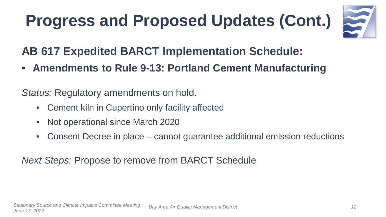

**AB 617 Expedited BARCT Implementation Schedule:** 

• **Amendments to Rule 9-13: Portland Cement Manufacturing** 

*Status:* Regulatory amendments on hold.

- Cement kiln in Cupertino only facility affected
- Not operational since March 2020
- Consent Decree in place cannot guarantee additional emission reductions

*Next Steps:* Propose to remove from BARCT Schedule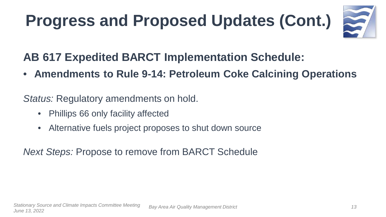

#### **AB 617 Expedited BARCT Implementation Schedule:**

• **Amendments to Rule 9-14: Petroleum Coke Calcining Operations**

*Status:* Regulatory amendments on hold.

- Phillips 66 only facility affected
- Alternative fuels project proposes to shut down source

*Next Steps:* Propose to remove from BARCT Schedule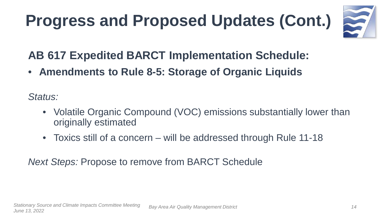

#### **AB 617 Expedited BARCT Implementation Schedule:**

• **Amendments to Rule 8-5: Storage of Organic Liquids** 

*Status:*

- Volatile Organic Compound (VOC) emissions substantially lower than originally estimated
- Toxics still of a concern will be addressed through Rule 11-18

*Next Steps:* Propose to remove from BARCT Schedule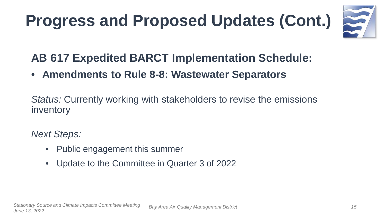

#### **AB 617 Expedited BARCT Implementation Schedule:**

• **Amendments to Rule 8-8: Wastewater Separators**

*Status:* Currently working with stakeholders to revise the emissions inventory

*Next Steps:* 

- Public engagement this summer
- Update to the Committee in Quarter 3 of 2022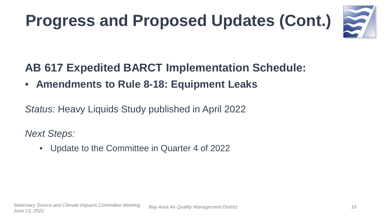

#### **AB 617 Expedited BARCT Implementation Schedule:**

• **Amendments to Rule 8-18: Equipment Leaks**

*Status:* Heavy Liquids Study published in April 2022

*Next Steps:* 

• Update to the Committee in Quarter 4 of 2022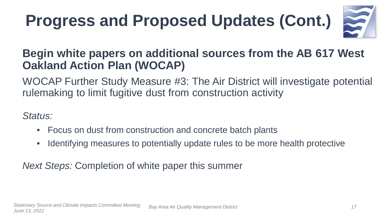

#### **Begin white papers on additional sources from the AB 617 West Oakland Action Plan (WOCAP)**

WOCAP Further Study Measure #3: The Air District will investigate potential rulemaking to limit fugitive dust from construction activity

*Status:* 

- Focus on dust from construction and concrete batch plants
- Identifying measures to potentially update rules to be more health protective

*Next Steps:* Completion of white paper this summer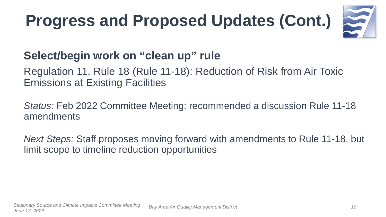

#### **Select/begin work on "clean up" rule**

#### Regulation 11, Rule 18 (Rule 11-18): Reduction of Risk from Air Toxic Emissions at Existing Facilities

*Status:* Feb 2022 Committee Meeting: recommended a discussion Rule 11-18 amendments

*Next Steps:* Staff proposes moving forward with amendments to Rule 11-18, but limit scope to timeline reduction opportunities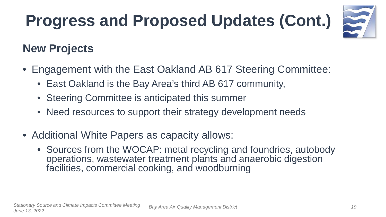

#### **New Projects**

- Engagement with the East Oakland AB 617 Steering Committee:
	- East Oakland is the Bay Area's third AB 617 community,
	- Steering Committee is anticipated this summer
	- Need resources to support their strategy development needs
- Additional White Papers as capacity allows:
	- Sources from the WOCAP: metal recycling and foundries, autobody operations, wastewater treatment plants and anaerobic digestion facilities, commercial cooking, and woodburning